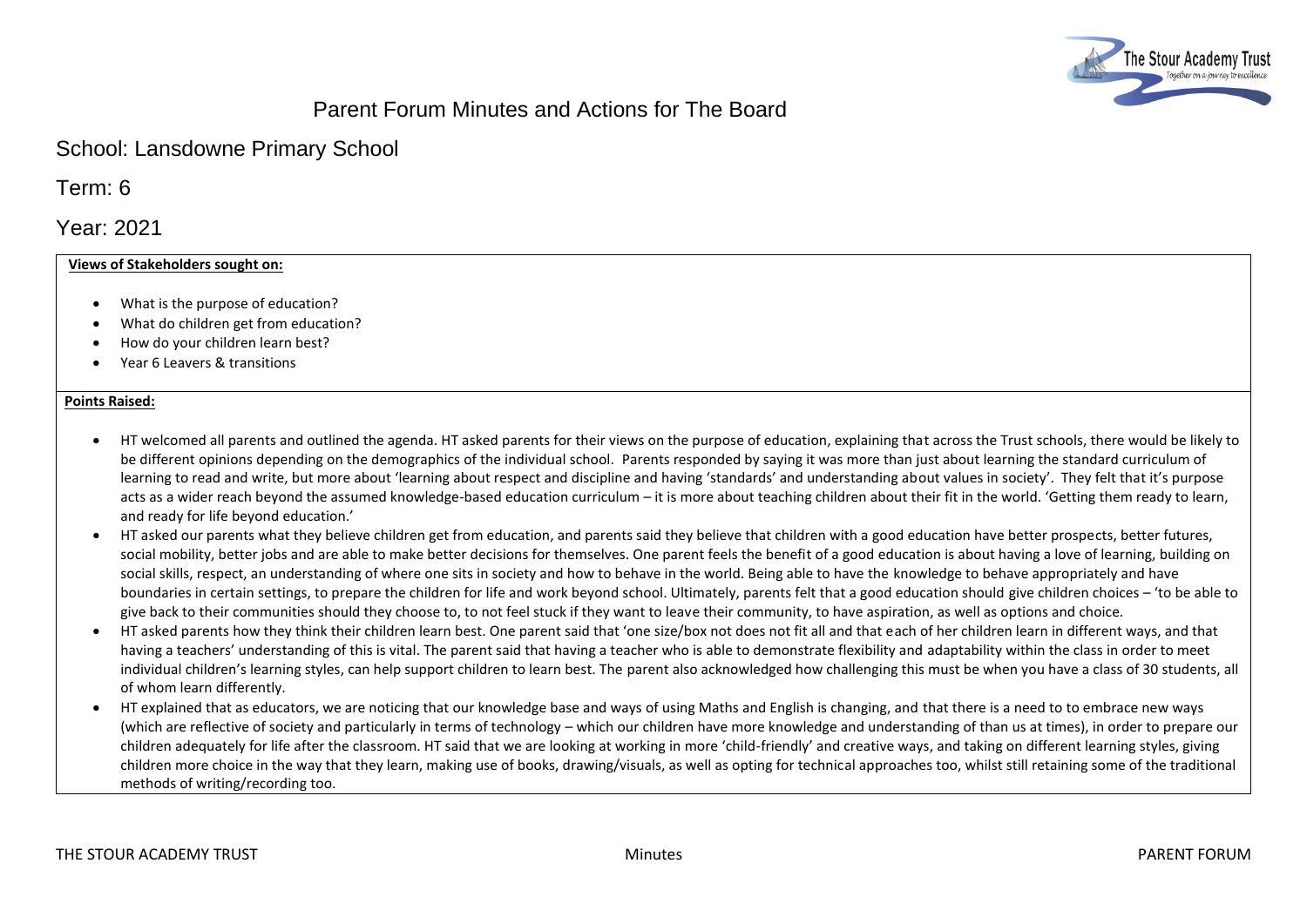

# Parent Forum Minutes and Actions for The Board

## School: Lansdowne Primary School

Term: 6

Year: 2021

## **Views of Stakeholders sought on:**

- What is the purpose of education?
- What do children get from education?
- How do your children learn best?
- Year 6 Leavers & transitions

#### **Points Raised:**

- HT welcomed all parents and outlined the agenda. HT asked parents for their views on the purpose of education, explaining that across the Trust schools, there would be likely to be different opinions depending on the demographics of the individual school. Parents responded by saying it was more than just about learning the standard curriculum of learning to read and write, but more about 'learning about respect and discipline and having 'standards' and understanding about values in society'. They felt that it's purpose acts as a wider reach beyond the assumed knowledge-based education curriculum – it is more about teaching children about their fit in the world. 'Getting them ready to learn, and ready for life beyond education.'
- HT asked our parents what they believe children get from education, and parents said they believe that children with a good education have better prospects, better futures, social mobility, better jobs and are able to make better decisions for themselves. One parent feels the benefit of a good education is about having a love of learning, building on social skills, respect, an understanding of where one sits in society and how to behave in the world. Being able to have the knowledge to behave appropriately and have boundaries in certain settings, to prepare the children for life and work beyond school. Ultimately, parents felt that a good education should give children choices – 'to be able to give back to their communities should they choose to, to not feel stuck if they want to leave their community, to have aspiration, as well as options and choice.
- HT asked parents how they think their children learn best. One parent said that 'one size/box not does not fit all and that each of her children learn in different ways, and that having a teachers' understanding of this is vital. The parent said that having a teacher who is able to demonstrate flexibility and adaptability within the class in order to meet individual children's learning styles, can help support children to learn best. The parent also acknowledged how challenging this must be when you have a class of 30 students, all of whom learn differently.
- HT explained that as educators, we are noticing that our knowledge base and ways of using Maths and English is changing, and that there is a need to to embrace new ways (which are reflective of society and particularly in terms of technology – which our children have more knowledge and understanding of than us at times), in order to prepare our children adequately for life after the classroom. HT said that we are looking at working in more 'child-friendly' and creative ways, and taking on different learning styles, giving children more choice in the way that they learn, making use of books, drawing/visuals, as well as opting for technical approaches too, whilst still retaining some of the traditional methods of writing/recording too.